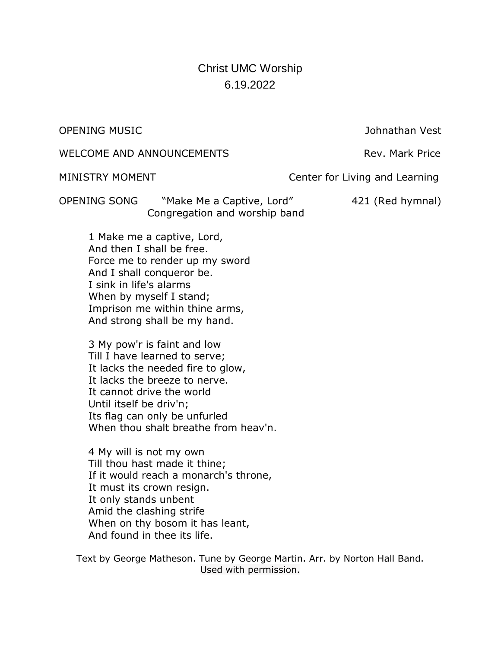# Christ UMC Worship 6.19.2022

OPENING MUSIC Johnathan Vest

WELCOME AND ANNOUNCEMENTS WELCOME AND ANNOUNCEMENTS

MINISTRY MOMENT **Center for Living and Learning** 

OPENING SONG "Make Me a Captive, Lord" 421 (Red hymnal) Congregation and worship band

1 Make me a captive, Lord, And then I shall be free. Force me to render up my sword And I shall conqueror be. I sink in life's alarms When by myself I stand; Imprison me within thine arms, And strong shall be my hand.

3 My pow'r is faint and low Till I have learned to serve; It lacks the needed fire to glow, It lacks the breeze to nerve. It cannot drive the world Until itself be driv'n; Its flag can only be unfurled When thou shalt breathe from heav'n.

4 My will is not my own Till thou hast made it thine; If it would reach a monarch's throne, It must its crown resign. It only stands unbent Amid the clashing strife When on thy bosom it has leant, And found in thee its life.

Text by George Matheson. Tune by George Martin. Arr. by Norton Hall Band. Used with permission.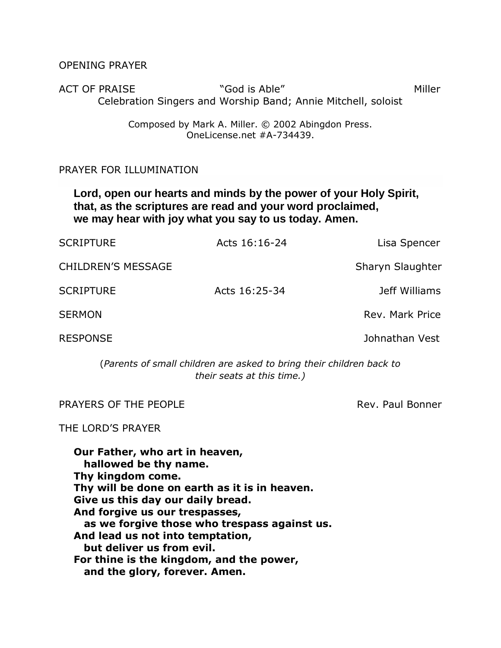OPENING PRAYER

ACT OF PRAISE THE "God is Able" New York of Miller Celebration Singers and Worship Band; Annie Mitchell, soloist

> Composed by Mark A. Miller. © 2002 Abingdon Press. OneLicense.net #A-734439.

## PRAYER FOR ILLUMINATION

**Lord, open our hearts and minds by the power of your Holy Spirit, that, as the scriptures are read and your word proclaimed, we may hear with joy what you say to us today. Amen.**

| <b>SCRIPTURE</b>          | Acts 16:16-24 | Lisa Spencer     |
|---------------------------|---------------|------------------|
| <b>CHILDREN'S MESSAGE</b> |               | Sharyn Slaughter |
| <b>SCRIPTURE</b>          | Acts 16:25-34 | Jeff Williams    |
| <b>SERMON</b>             |               | Rev. Mark Price  |
| <b>RESPONSE</b>           |               | Johnathan Vest   |

(*Parents of small children are asked to bring their children back to their seats at this time.)*

PRAYERS OF THE PEOPLE **Rev. Paul Bonner** Rev. Paul Bonner

THE LORD'S PRAYER

**Our Father, who art in heaven, hallowed be thy name. Thy kingdom come. Thy will be done on earth as it is in heaven. Give us this day our daily bread. And forgive us our trespasses, as we forgive those who trespass against us. And lead us not into temptation, but deliver us from evil. For thine is the kingdom, and the power, and the glory, forever. Amen.**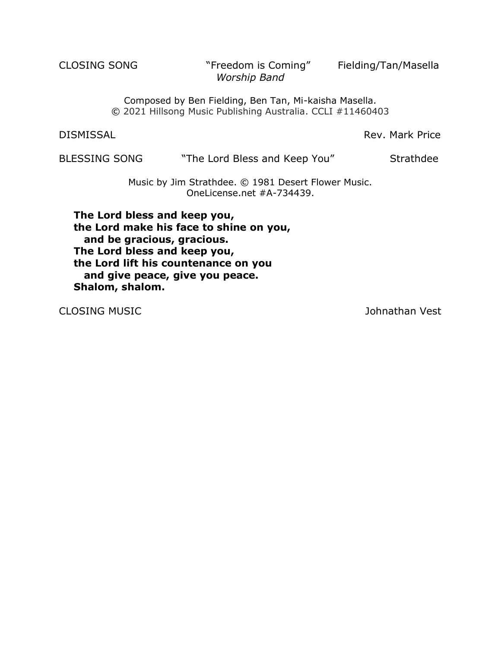CLOSING SONG "Freedom is Coming" Fielding/Tan/Masella *Worship Band*

Composed by Ben Fielding, Ben Tan, Mi-kaisha Masella. © 2021 Hillsong Music Publishing Australia. CCLI #11460403

DISMISSAL **Rev. Mark Price** 

BLESSING SONG "The Lord Bless and Keep You" Strathdee

Music by Jim Strathdee. © 1981 Desert Flower Music. OneLicense.net #A-734439.

**The Lord bless and keep you, the Lord make his face to shine on you, and be gracious, gracious. The Lord bless and keep you, the Lord lift his countenance on you and give peace, give you peace. Shalom, shalom.**

CLOSING MUSIC **CLOSING MUSIC**